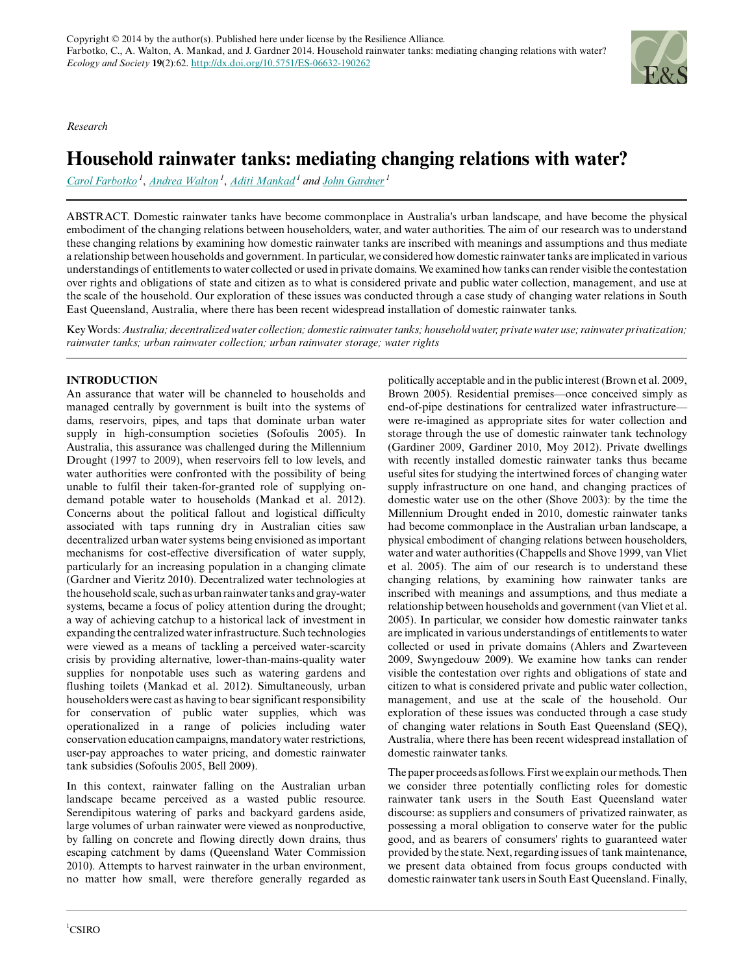*Research*

# **Household rainwater tanks: mediating changing relations with water?**

*[Carol Farbotko](mailto:carol.farbotko@csiro.au)<sup>1</sup>* , *[Andrea Walton](mailto:Andrea.Walton@csiro.au)<sup>1</sup>* , *[Aditi Mankad](mailto:Aditi.Mankad@csiro.au)<sup>1</sup> and [John Gardner](mailto:John.Gardner@csiro.au)<sup>1</sup>*

ABSTRACT. Domestic rainwater tanks have become commonplace in Australia's urban landscape, and have become the physical embodiment of the changing relations between householders, water, and water authorities. The aim of our research was to understand these changing relations by examining how domestic rainwater tanks are inscribed with meanings and assumptions and thus mediate a relationship between households and government. In particular, we considered how domestic rainwater tanks are implicated in various understandings of entitlements to water collected or used in private domains. We examined how tanks can render visible the contestation over rights and obligations of state and citizen as to what is considered private and public water collection, management, and use at the scale of the household. Our exploration of these issues was conducted through a case study of changing water relations in South East Queensland, Australia, where there has been recent widespread installation of domestic rainwater tanks.

Key Words: *Australia; decentralized water collection; domestic rainwater tanks; household water; private water use; rainwater privatization; rainwater tanks; urban rainwater collection; urban rainwater storage; water rights*

## **INTRODUCTION**

An assurance that water will be channeled to households and managed centrally by government is built into the systems of dams, reservoirs, pipes, and taps that dominate urban water supply in high-consumption societies (Sofoulis 2005). In Australia, this assurance was challenged during the Millennium Drought (1997 to 2009), when reservoirs fell to low levels, and water authorities were confronted with the possibility of being unable to fulfil their taken-for-granted role of supplying ondemand potable water to households (Mankad et al. 2012). Concerns about the political fallout and logistical difficulty associated with taps running dry in Australian cities saw decentralized urban water systems being envisioned as important mechanisms for cost-effective diversification of water supply, particularly for an increasing population in a changing climate (Gardner and Vieritz 2010). Decentralized water technologies at the household scale, such as urban rainwater tanks and gray-water systems, became a focus of policy attention during the drought; a way of achieving catchup to a historical lack of investment in expanding the centralized water infrastructure. Such technologies were viewed as a means of tackling a perceived water-scarcity crisis by providing alternative, lower-than-mains-quality water supplies for nonpotable uses such as watering gardens and flushing toilets (Mankad et al. 2012). Simultaneously, urban householders were cast as having to bear significant responsibility for conservation of public water supplies, which was operationalized in a range of policies including water conservation education campaigns, mandatory water restrictions, user-pay approaches to water pricing, and domestic rainwater tank subsidies (Sofoulis 2005, Bell 2009).

In this context, rainwater falling on the Australian urban landscape became perceived as a wasted public resource. Serendipitous watering of parks and backyard gardens aside, large volumes of urban rainwater were viewed as nonproductive, by falling on concrete and flowing directly down drains, thus escaping catchment by dams (Queensland Water Commission 2010). Attempts to harvest rainwater in the urban environment, no matter how small, were therefore generally regarded as

politically acceptable and in the public interest (Brown et al. 2009, Brown 2005). Residential premises—once conceived simply as end-of-pipe destinations for centralized water infrastructure were re-imagined as appropriate sites for water collection and storage through the use of domestic rainwater tank technology (Gardiner 2009, Gardiner 2010, Moy 2012). Private dwellings with recently installed domestic rainwater tanks thus became useful sites for studying the intertwined forces of changing water supply infrastructure on one hand, and changing practices of domestic water use on the other (Shove 2003): by the time the Millennium Drought ended in 2010, domestic rainwater tanks had become commonplace in the Australian urban landscape, a physical embodiment of changing relations between householders, water and water authorities (Chappells and Shove 1999, van Vliet et al. 2005). The aim of our research is to understand these changing relations, by examining how rainwater tanks are inscribed with meanings and assumptions, and thus mediate a relationship between households and government (van Vliet et al. 2005). In particular, we consider how domestic rainwater tanks are implicated in various understandings of entitlements to water collected or used in private domains (Ahlers and Zwarteveen 2009, Swyngedouw 2009). We examine how tanks can render visible the contestation over rights and obligations of state and citizen to what is considered private and public water collection, management, and use at the scale of the household. Our exploration of these issues was conducted through a case study of changing water relations in South East Queensland (SEQ), Australia, where there has been recent widespread installation of domestic rainwater tanks.

The paper proceeds as follows. First we explain our methods. Then we consider three potentially conflicting roles for domestic rainwater tank users in the South East Queensland water discourse: as suppliers and consumers of privatized rainwater, as possessing a moral obligation to conserve water for the public good, and as bearers of consumers' rights to guaranteed water provided by the state. Next, regarding issues of tank maintenance, we present data obtained from focus groups conducted with domestic rainwater tank users in South East Queensland. Finally,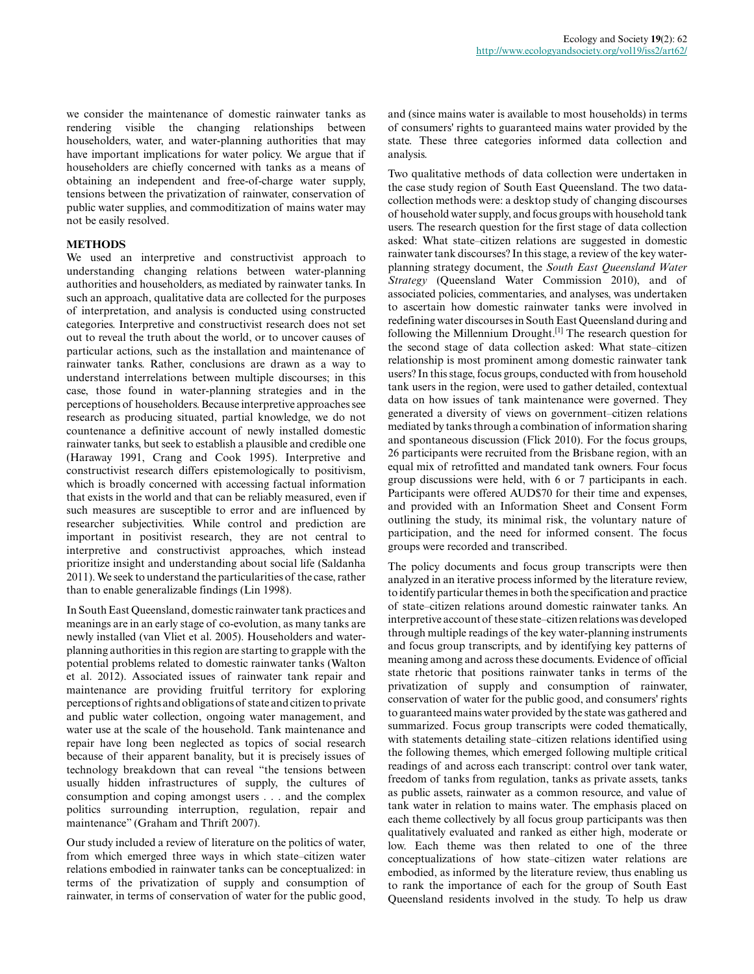we consider the maintenance of domestic rainwater tanks as rendering visible the changing relationships between householders, water, and water-planning authorities that may have important implications for water policy. We argue that if householders are chiefly concerned with tanks as a means of obtaining an independent and free-of-charge water supply, tensions between the privatization of rainwater, conservation of public water supplies, and commoditization of mains water may not be easily resolved.

### **METHODS**

We used an interpretive and constructivist approach to understanding changing relations between water-planning authorities and householders, as mediated by rainwater tanks. In such an approach, qualitative data are collected for the purposes of interpretation, and analysis is conducted using constructed categories. Interpretive and constructivist research does not set out to reveal the truth about the world, or to uncover causes of particular actions, such as the installation and maintenance of rainwater tanks. Rather, conclusions are drawn as a way to understand interrelations between multiple discourses; in this case, those found in water-planning strategies and in the perceptions of householders. Because interpretive approaches see research as producing situated, partial knowledge, we do not countenance a definitive account of newly installed domestic rainwater tanks, but seek to establish a plausible and credible one (Haraway 1991, Crang and Cook 1995). Interpretive and constructivist research differs epistemologically to positivism, which is broadly concerned with accessing factual information that exists in the world and that can be reliably measured, even if such measures are susceptible to error and are influenced by researcher subjectivities. While control and prediction are important in positivist research, they are not central to interpretive and constructivist approaches, which instead prioritize insight and understanding about social life (Saldanha 2011). We seek to understand the particularities of the case, rather than to enable generalizable findings (Lin 1998).

In South East Queensland, domestic rainwater tank practices and meanings are in an early stage of co-evolution, as many tanks are newly installed (van Vliet et al. 2005). Householders and waterplanning authorities in this region are starting to grapple with the potential problems related to domestic rainwater tanks (Walton et al. 2012). Associated issues of rainwater tank repair and maintenance are providing fruitful territory for exploring perceptions of rights and obligations of state and citizen to private and public water collection, ongoing water management, and water use at the scale of the household. Tank maintenance and repair have long been neglected as topics of social research because of their apparent banality, but it is precisely issues of technology breakdown that can reveal "the tensions between usually hidden infrastructures of supply, the cultures of consumption and coping amongst users . . . and the complex politics surrounding interruption, regulation, repair and maintenance" (Graham and Thrift 2007).

Our study included a review of literature on the politics of water, from which emerged three ways in which state–citizen water relations embodied in rainwater tanks can be conceptualized: in terms of the privatization of supply and consumption of rainwater, in terms of conservation of water for the public good,

and (since mains water is available to most households) in terms of consumers' rights to guaranteed mains water provided by the state. These three categories informed data collection and analysis.

Two qualitative methods of data collection were undertaken in the case study region of South East Queensland. The two datacollection methods were: a desktop study of changing discourses of household water supply, and focus groups with household tank users. The research question for the first stage of data collection asked: What state–citizen relations are suggested in domestic rainwater tank discourses? In this stage, a review of the key waterplanning strategy document, the *South East Queensland Water Strategy* (Queensland Water Commission 2010), and of associated policies, commentaries, and analyses, was undertaken to ascertain how domestic rainwater tanks were involved in redefining water discourses in South East Queensland during and following the Millennium Drought.<sup>[1]</sup> The research question for the second stage of data collection asked: What state–citizen relationship is most prominent among domestic rainwater tank users? In this stage, focus groups, conducted with from household tank users in the region, were used to gather detailed, contextual data on how issues of tank maintenance were governed. They generated a diversity of views on government–citizen relations mediated by tanks through a combination of information sharing and spontaneous discussion (Flick 2010). For the focus groups, 26 participants were recruited from the Brisbane region, with an equal mix of retrofitted and mandated tank owners. Four focus group discussions were held, with 6 or 7 participants in each. Participants were offered AUD\$70 for their time and expenses, and provided with an Information Sheet and Consent Form outlining the study, its minimal risk, the voluntary nature of participation, and the need for informed consent. The focus groups were recorded and transcribed.

The policy documents and focus group transcripts were then analyzed in an iterative process informed by the literature review, to identify particular themes in both the specification and practice of state–citizen relations around domestic rainwater tanks. An interpretive account of these state–citizen relations was developed through multiple readings of the key water-planning instruments and focus group transcripts, and by identifying key patterns of meaning among and across these documents. Evidence of official state rhetoric that positions rainwater tanks in terms of the privatization of supply and consumption of rainwater, conservation of water for the public good, and consumers' rights to guaranteed mains water provided by the state was gathered and summarized. Focus group transcripts were coded thematically, with statements detailing state–citizen relations identified using the following themes, which emerged following multiple critical readings of and across each transcript: control over tank water, freedom of tanks from regulation, tanks as private assets, tanks as public assets, rainwater as a common resource, and value of tank water in relation to mains water. The emphasis placed on each theme collectively by all focus group participants was then qualitatively evaluated and ranked as either high, moderate or low. Each theme was then related to one of the three conceptualizations of how state–citizen water relations are embodied, as informed by the literature review, thus enabling us to rank the importance of each for the group of South East Queensland residents involved in the study. To help us draw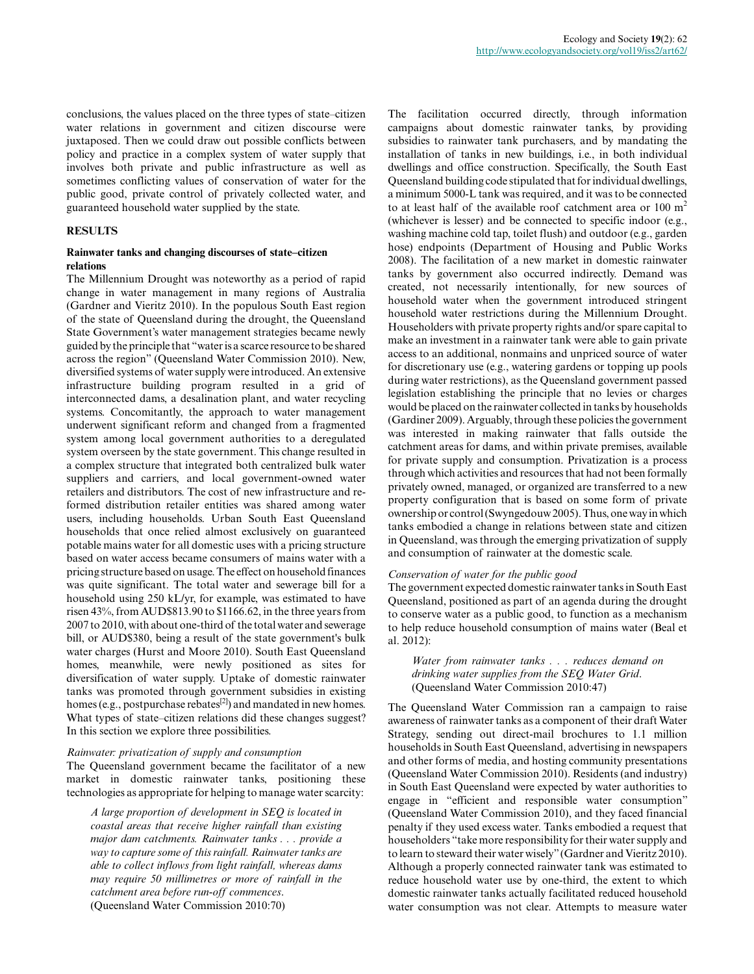conclusions, the values placed on the three types of state–citizen water relations in government and citizen discourse were juxtaposed. Then we could draw out possible conflicts between policy and practice in a complex system of water supply that involves both private and public infrastructure as well as sometimes conflicting values of conservation of water for the public good, private control of privately collected water, and guaranteed household water supplied by the state.

#### **RESULTS**

#### **Rainwater tanks and changing discourses of state–citizen relations**

The Millennium Drought was noteworthy as a period of rapid change in water management in many regions of Australia (Gardner and Vieritz 2010). In the populous South East region of the state of Queensland during the drought, the Queensland State Government's water management strategies became newly guided by the principle that "water is a scarce resource to be shared across the region" (Queensland Water Commission 2010). New, diversified systems of water supply were introduced. An extensive infrastructure building program resulted in a grid of interconnected dams, a desalination plant, and water recycling systems. Concomitantly, the approach to water management underwent significant reform and changed from a fragmented system among local government authorities to a deregulated system overseen by the state government. This change resulted in a complex structure that integrated both centralized bulk water suppliers and carriers, and local government-owned water retailers and distributors. The cost of new infrastructure and reformed distribution retailer entities was shared among water users, including households. Urban South East Queensland households that once relied almost exclusively on guaranteed potable mains water for all domestic uses with a pricing structure based on water access became consumers of mains water with a pricing structure based on usage. The effect on household finances was quite significant. The total water and sewerage bill for a household using 250 kL/yr, for example, was estimated to have risen 43%, from AUD\$813.90 to \$1166.62, in the three years from 2007 to 2010, with about one-third of the total water and sewerage bill, or AUD\$380, being a result of the state government's bulk water charges (Hurst and Moore 2010). South East Queensland homes, meanwhile, were newly positioned as sites for diversification of water supply. Uptake of domestic rainwater tanks was promoted through government subsidies in existing homes (e.g., postpurchase rebates<sup>[2]</sup>) and mandated in new homes. What types of state–citizen relations did these changes suggest? In this section we explore three possibilities.

#### *Rainwater: privatization of supply and consumption*

The Queensland government became the facilitator of a new market in domestic rainwater tanks, positioning these technologies as appropriate for helping to manage water scarcity:

*A large proportion of development in SEQ is located in coastal areas that receive higher rainfall than existing major dam catchments. Rainwater tanks . . . provide a way to capture some of this rainfall. Rainwater tanks are able to collect inflows from light rainfall, whereas dams may require 50 millimetres or more of rainfall in the catchment area before run-off commences*. (Queensland Water Commission 2010:70)

The facilitation occurred directly, through information campaigns about domestic rainwater tanks, by providing subsidies to rainwater tank purchasers, and by mandating the installation of tanks in new buildings, i.e., in both individual dwellings and office construction. Specifically, the South East Queensland building code stipulated that for individual dwellings, a minimum 5000-L tank was required, and it was to be connected to at least half of the available roof catchment area or  $100 \text{ m}^2$ (whichever is lesser) and be connected to specific indoor (e.g., washing machine cold tap, toilet flush) and outdoor (e.g., garden hose) endpoints (Department of Housing and Public Works 2008). The facilitation of a new market in domestic rainwater tanks by government also occurred indirectly. Demand was created, not necessarily intentionally, for new sources of household water when the government introduced stringent household water restrictions during the Millennium Drought. Householders with private property rights and/or spare capital to make an investment in a rainwater tank were able to gain private access to an additional, nonmains and unpriced source of water for discretionary use (e.g., watering gardens or topping up pools during water restrictions), as the Queensland government passed legislation establishing the principle that no levies or charges would be placed on the rainwater collected in tanks by households (Gardiner 2009). Arguably, through these policies the government was interested in making rainwater that falls outside the catchment areas for dams, and within private premises, available for private supply and consumption. Privatization is a process through which activities and resources that had not been formally privately owned, managed, or organized are transferred to a new property configuration that is based on some form of private ownership or control (Swyngedouw 2005). Thus, one way in which tanks embodied a change in relations between state and citizen in Queensland, was through the emerging privatization of supply and consumption of rainwater at the domestic scale.

#### *Conservation of water for the public good*

The government expected domestic rainwater tanks in South East Queensland, positioned as part of an agenda during the drought to conserve water as a public good, to function as a mechanism to help reduce household consumption of mains water (Beal et al. 2012):

### *Water from rainwater tanks . . . reduces demand on drinking water supplies from the SEQ Water Grid*. (Queensland Water Commission 2010:47)

The Queensland Water Commission ran a campaign to raise awareness of rainwater tanks as a component of their draft Water Strategy, sending out direct-mail brochures to 1.1 million households in South East Queensland, advertising in newspapers and other forms of media, and hosting community presentations (Queensland Water Commission 2010). Residents (and industry) in South East Queensland were expected by water authorities to engage in "efficient and responsible water consumption" (Queensland Water Commission 2010), and they faced financial penalty if they used excess water. Tanks embodied a request that householders "take more responsibility for their water supply and to learn to steward their water wisely" (Gardner and Vieritz 2010). Although a properly connected rainwater tank was estimated to reduce household water use by one-third, the extent to which domestic rainwater tanks actually facilitated reduced household water consumption was not clear. Attempts to measure water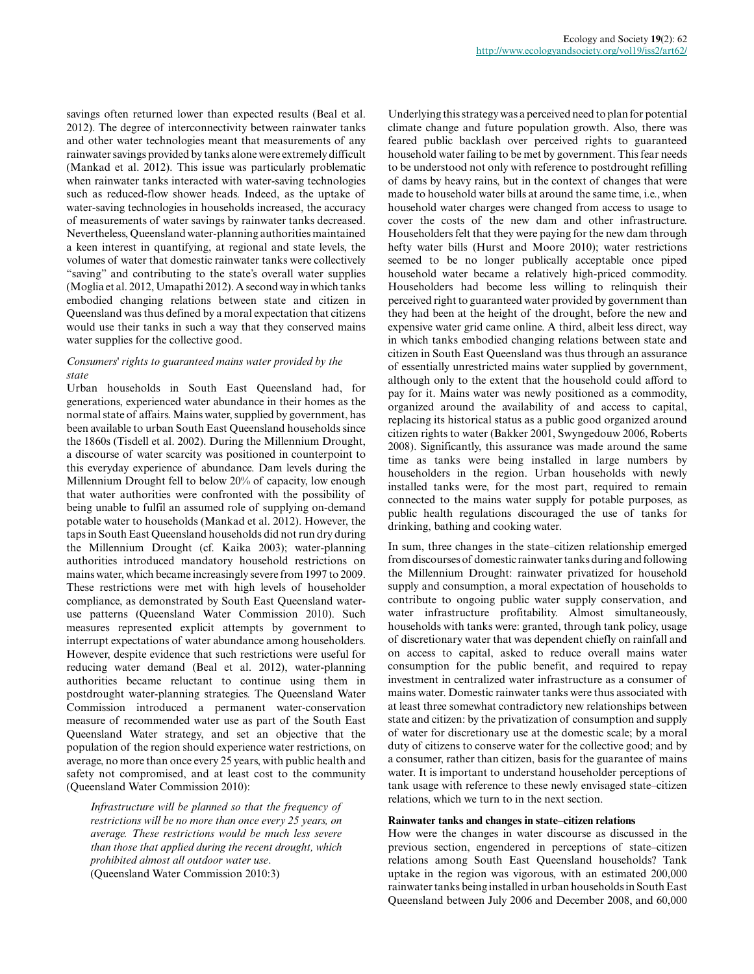savings often returned lower than expected results (Beal et al. 2012). The degree of interconnectivity between rainwater tanks and other water technologies meant that measurements of any rainwater savings provided by tanks alone were extremely difficult (Mankad et al. 2012). This issue was particularly problematic when rainwater tanks interacted with water-saving technologies such as reduced-flow shower heads. Indeed, as the uptake of water-saving technologies in households increased, the accuracy of measurements of water savings by rainwater tanks decreased. Nevertheless, Queensland water-planning authorities maintained a keen interest in quantifying, at regional and state levels, the volumes of water that domestic rainwater tanks were collectively "saving" and contributing to the state's overall water supplies (Moglia et al. 2012, Umapathi 2012). A second way in which tanks embodied changing relations between state and citizen in Queensland was thus defined by a moral expectation that citizens would use their tanks in such a way that they conserved mains water supplies for the collective good.

#### *Consumers' rights to guaranteed mains water provided by the state*

Urban households in South East Queensland had, for generations, experienced water abundance in their homes as the normal state of affairs. Mains water, supplied by government, has been available to urban South East Queensland households since the 1860s (Tisdell et al. 2002). During the Millennium Drought, a discourse of water scarcity was positioned in counterpoint to this everyday experience of abundance. Dam levels during the Millennium Drought fell to below 20% of capacity, low enough that water authorities were confronted with the possibility of being unable to fulfil an assumed role of supplying on-demand potable water to households (Mankad et al. 2012). However, the taps in South East Queensland households did not run dry during the Millennium Drought (cf. Kaika 2003); water-planning authorities introduced mandatory household restrictions on mains water, which became increasingly severe from 1997 to 2009. These restrictions were met with high levels of householder compliance, as demonstrated by South East Queensland wateruse patterns (Queensland Water Commission 2010). Such measures represented explicit attempts by government to interrupt expectations of water abundance among householders. However, despite evidence that such restrictions were useful for reducing water demand (Beal et al. 2012), water-planning authorities became reluctant to continue using them in postdrought water-planning strategies. The Queensland Water Commission introduced a permanent water-conservation measure of recommended water use as part of the South East Queensland Water strategy, and set an objective that the population of the region should experience water restrictions, on average, no more than once every 25 years, with public health and safety not compromised, and at least cost to the community (Queensland Water Commission 2010):

*Infrastructure will be planned so that the frequency of restrictions will be no more than once every 25 years, on average. These restrictions would be much less severe than those that applied during the recent drought, which prohibited almost all outdoor water use*. (Queensland Water Commission 2010:3)

Underlying this strategy was a perceived need to plan for potential climate change and future population growth. Also, there was feared public backlash over perceived rights to guaranteed household water failing to be met by government. This fear needs to be understood not only with reference to postdrought refilling of dams by heavy rains, but in the context of changes that were made to household water bills at around the same time, i.e., when household water charges were changed from access to usage to cover the costs of the new dam and other infrastructure. Householders felt that they were paying for the new dam through hefty water bills (Hurst and Moore 2010); water restrictions seemed to be no longer publically acceptable once piped household water became a relatively high-priced commodity. Householders had become less willing to relinquish their perceived right to guaranteed water provided by government than they had been at the height of the drought, before the new and expensive water grid came online. A third, albeit less direct, way in which tanks embodied changing relations between state and citizen in South East Queensland was thus through an assurance of essentially unrestricted mains water supplied by government, although only to the extent that the household could afford to pay for it. Mains water was newly positioned as a commodity, organized around the availability of and access to capital, replacing its historical status as a public good organized around citizen rights to water (Bakker 2001, Swyngedouw 2006, Roberts 2008). Significantly, this assurance was made around the same time as tanks were being installed in large numbers by householders in the region. Urban households with newly installed tanks were, for the most part, required to remain connected to the mains water supply for potable purposes, as public health regulations discouraged the use of tanks for drinking, bathing and cooking water.

In sum, three changes in the state–citizen relationship emerged from discourses of domestic rainwater tanks during and following the Millennium Drought: rainwater privatized for household supply and consumption, a moral expectation of households to contribute to ongoing public water supply conservation, and water infrastructure profitability. Almost simultaneously, households with tanks were: granted, through tank policy, usage of discretionary water that was dependent chiefly on rainfall and on access to capital, asked to reduce overall mains water consumption for the public benefit, and required to repay investment in centralized water infrastructure as a consumer of mains water. Domestic rainwater tanks were thus associated with at least three somewhat contradictory new relationships between state and citizen: by the privatization of consumption and supply of water for discretionary use at the domestic scale; by a moral duty of citizens to conserve water for the collective good; and by a consumer, rather than citizen, basis for the guarantee of mains water. It is important to understand householder perceptions of tank usage with reference to these newly envisaged state–citizen relations, which we turn to in the next section.

#### **Rainwater tanks and changes in state–citizen relations**

How were the changes in water discourse as discussed in the previous section, engendered in perceptions of state–citizen relations among South East Queensland households? Tank uptake in the region was vigorous, with an estimated 200,000 rainwater tanks being installed in urban households in South East Queensland between July 2006 and December 2008, and 60,000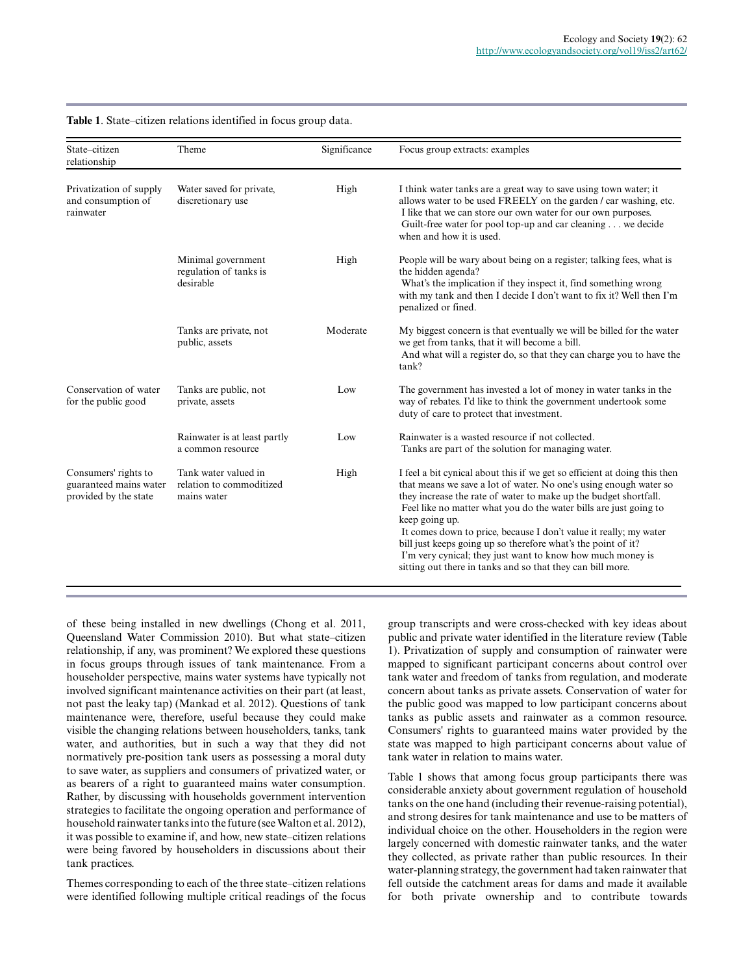| State-citizen<br>relationship                                           | Theme                                                           | Significance | Focus group extracts: examples                                                                                                                                                                                                                                                                                                                                                                                                                                                                                                                                              |
|-------------------------------------------------------------------------|-----------------------------------------------------------------|--------------|-----------------------------------------------------------------------------------------------------------------------------------------------------------------------------------------------------------------------------------------------------------------------------------------------------------------------------------------------------------------------------------------------------------------------------------------------------------------------------------------------------------------------------------------------------------------------------|
| Privatization of supply<br>and consumption of<br>rainwater              | Water saved for private,<br>discretionary use                   | High         | I think water tanks are a great way to save using town water; it<br>allows water to be used FREELY on the garden / car washing, etc.<br>I like that we can store our own water for our own purposes.<br>Guilt-free water for pool top-up and car cleaning we decide<br>when and how it is used.                                                                                                                                                                                                                                                                             |
|                                                                         | Minimal government<br>regulation of tanks is<br>desirable       | High         | People will be wary about being on a register; talking fees, what is<br>the hidden agenda?<br>What's the implication if they inspect it, find something wrong<br>with my tank and then I decide I don't want to fix it? Well then I'm<br>penalized or fined.                                                                                                                                                                                                                                                                                                                |
|                                                                         | Tanks are private, not<br>public, assets                        | Moderate     | My biggest concern is that eventually we will be billed for the water<br>we get from tanks, that it will become a bill.<br>And what will a register do, so that they can charge you to have the<br>tank?                                                                                                                                                                                                                                                                                                                                                                    |
| Conservation of water<br>for the public good                            | Tanks are public, not<br>private, assets                        | Low          | The government has invested a lot of money in water tanks in the<br>way of rebates. I'd like to think the government undertook some<br>duty of care to protect that investment.                                                                                                                                                                                                                                                                                                                                                                                             |
|                                                                         | Rainwater is at least partly<br>a common resource               | Low          | Rainwater is a wasted resource if not collected.<br>Tanks are part of the solution for managing water.                                                                                                                                                                                                                                                                                                                                                                                                                                                                      |
| Consumers' rights to<br>guaranteed mains water<br>provided by the state | Tank water valued in<br>relation to commoditized<br>mains water | High         | I feel a bit cynical about this if we get so efficient at doing this then<br>that means we save a lot of water. No one's using enough water so<br>they increase the rate of water to make up the budget shortfall.<br>Feel like no matter what you do the water bills are just going to<br>keep going up.<br>It comes down to price, because I don't value it really; my water<br>bill just keeps going up so therefore what's the point of it?<br>I'm very cynical; they just want to know how much money is<br>sitting out there in tanks and so that they can bill more. |

**Table 1**. State–citizen relations identified in focus group data.

of these being installed in new dwellings (Chong et al. 2011, Queensland Water Commission 2010). But what state–citizen relationship, if any, was prominent? We explored these questions in focus groups through issues of tank maintenance. From a householder perspective, mains water systems have typically not involved significant maintenance activities on their part (at least, not past the leaky tap) (Mankad et al. 2012). Questions of tank maintenance were, therefore, useful because they could make visible the changing relations between householders, tanks, tank water, and authorities, but in such a way that they did not normatively pre-position tank users as possessing a moral duty to save water, as suppliers and consumers of privatized water, or as bearers of a right to guaranteed mains water consumption. Rather, by discussing with households government intervention strategies to facilitate the ongoing operation and performance of household rainwater tanks into the future (see Walton et al. 2012), it was possible to examine if, and how, new state–citizen relations were being favored by householders in discussions about their tank practices.

Themes corresponding to each of the three state–citizen relations were identified following multiple critical readings of the focus

group transcripts and were cross-checked with key ideas about public and private water identified in the literature review (Table 1). Privatization of supply and consumption of rainwater were mapped to significant participant concerns about control over tank water and freedom of tanks from regulation, and moderate concern about tanks as private assets. Conservation of water for the public good was mapped to low participant concerns about tanks as public assets and rainwater as a common resource. Consumers' rights to guaranteed mains water provided by the state was mapped to high participant concerns about value of tank water in relation to mains water.

Table 1 shows that among focus group participants there was considerable anxiety about government regulation of household tanks on the one hand (including their revenue-raising potential), and strong desires for tank maintenance and use to be matters of individual choice on the other. Householders in the region were largely concerned with domestic rainwater tanks, and the water they collected, as private rather than public resources. In their water-planning strategy, the government had taken rainwater that fell outside the catchment areas for dams and made it available for both private ownership and to contribute towards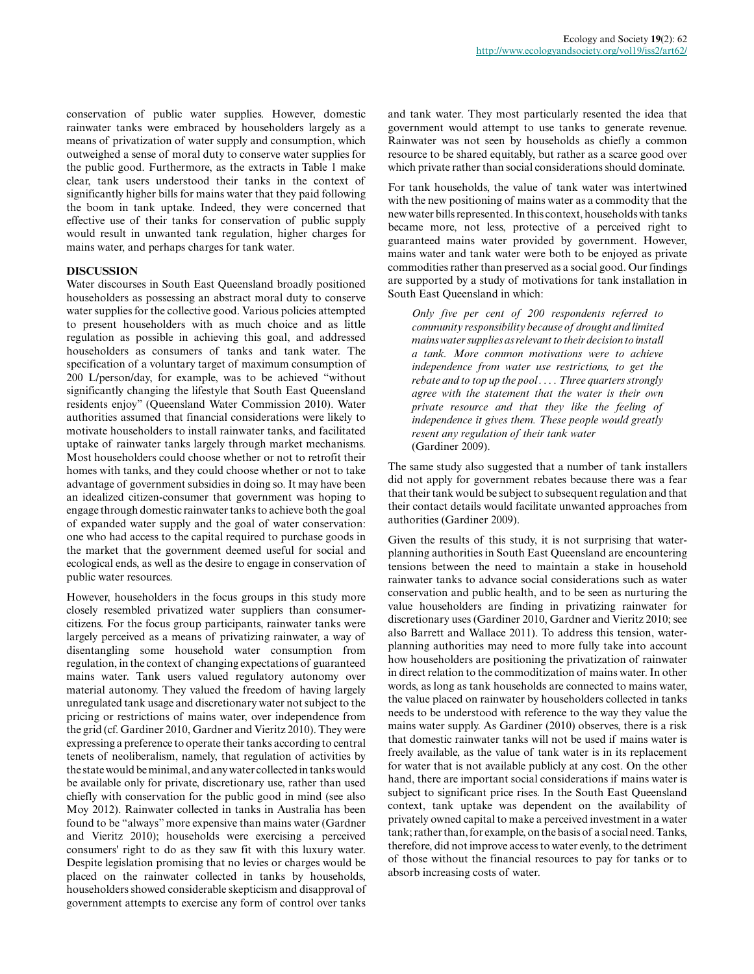conservation of public water supplies. However, domestic rainwater tanks were embraced by householders largely as a means of privatization of water supply and consumption, which outweighed a sense of moral duty to conserve water supplies for the public good. Furthermore, as the extracts in Table 1 make clear, tank users understood their tanks in the context of significantly higher bills for mains water that they paid following the boom in tank uptake. Indeed, they were concerned that effective use of their tanks for conservation of public supply would result in unwanted tank regulation, higher charges for mains water, and perhaps charges for tank water.

#### **DISCUSSION**

Water discourses in South East Queensland broadly positioned householders as possessing an abstract moral duty to conserve water supplies for the collective good. Various policies attempted to present householders with as much choice and as little regulation as possible in achieving this goal, and addressed householders as consumers of tanks and tank water. The specification of a voluntary target of maximum consumption of 200 L/person/day, for example, was to be achieved "without significantly changing the lifestyle that South East Queensland residents enjoy" (Queensland Water Commission 2010). Water authorities assumed that financial considerations were likely to motivate householders to install rainwater tanks, and facilitated uptake of rainwater tanks largely through market mechanisms. Most householders could choose whether or not to retrofit their homes with tanks, and they could choose whether or not to take advantage of government subsidies in doing so. It may have been an idealized citizen-consumer that government was hoping to engage through domestic rainwater tanks to achieve both the goal of expanded water supply and the goal of water conservation: one who had access to the capital required to purchase goods in the market that the government deemed useful for social and ecological ends, as well as the desire to engage in conservation of public water resources.

However, householders in the focus groups in this study more closely resembled privatized water suppliers than consumercitizens. For the focus group participants, rainwater tanks were largely perceived as a means of privatizing rainwater, a way of disentangling some household water consumption from regulation, in the context of changing expectations of guaranteed mains water. Tank users valued regulatory autonomy over material autonomy. They valued the freedom of having largely unregulated tank usage and discretionary water not subject to the pricing or restrictions of mains water, over independence from the grid (cf. Gardiner 2010, Gardner and Vieritz 2010). They were expressing a preference to operate their tanks according to central tenets of neoliberalism, namely, that regulation of activities by the state would be minimal, and any water collected in tanks would be available only for private, discretionary use, rather than used chiefly with conservation for the public good in mind (see also Moy 2012). Rainwater collected in tanks in Australia has been found to be "always" more expensive than mains water (Gardner and Vieritz 2010); households were exercising a perceived consumers' right to do as they saw fit with this luxury water. Despite legislation promising that no levies or charges would be placed on the rainwater collected in tanks by households, householders showed considerable skepticism and disapproval of government attempts to exercise any form of control over tanks

and tank water. They most particularly resented the idea that government would attempt to use tanks to generate revenue. Rainwater was not seen by households as chiefly a common resource to be shared equitably, but rather as a scarce good over which private rather than social considerations should dominate.

For tank households, the value of tank water was intertwined with the new positioning of mains water as a commodity that the new water bills represented. In this context, households with tanks became more, not less, protective of a perceived right to guaranteed mains water provided by government. However, mains water and tank water were both to be enjoyed as private commodities rather than preserved as a social good. Our findings are supported by a study of motivations for tank installation in South East Queensland in which:

*Only five per cent of 200 respondents referred to community responsibility because of drought and limited mains water supplies as relevant to their decision to install a tank. More common motivations were to achieve independence from water use restrictions, to get the rebate and to top up the pool . . . . Three quarters strongly agree with the statement that the water is their own private resource and that they like the feeling of independence it gives them. These people would greatly resent any regulation of their tank water* (Gardiner 2009).

The same study also suggested that a number of tank installers did not apply for government rebates because there was a fear that their tank would be subject to subsequent regulation and that their contact details would facilitate unwanted approaches from authorities (Gardiner 2009).

Given the results of this study, it is not surprising that waterplanning authorities in South East Queensland are encountering tensions between the need to maintain a stake in household rainwater tanks to advance social considerations such as water conservation and public health, and to be seen as nurturing the value householders are finding in privatizing rainwater for discretionary uses (Gardiner 2010, Gardner and Vieritz 2010; see also Barrett and Wallace 2011). To address this tension, waterplanning authorities may need to more fully take into account how householders are positioning the privatization of rainwater in direct relation to the commoditization of mains water. In other words, as long as tank households are connected to mains water, the value placed on rainwater by householders collected in tanks needs to be understood with reference to the way they value the mains water supply. As Gardiner (2010) observes, there is a risk that domestic rainwater tanks will not be used if mains water is freely available, as the value of tank water is in its replacement for water that is not available publicly at any cost. On the other hand, there are important social considerations if mains water is subject to significant price rises. In the South East Queensland context, tank uptake was dependent on the availability of privately owned capital to make a perceived investment in a water tank; rather than, for example, on the basis of a social need. Tanks, therefore, did not improve access to water evenly, to the detriment of those without the financial resources to pay for tanks or to absorb increasing costs of water.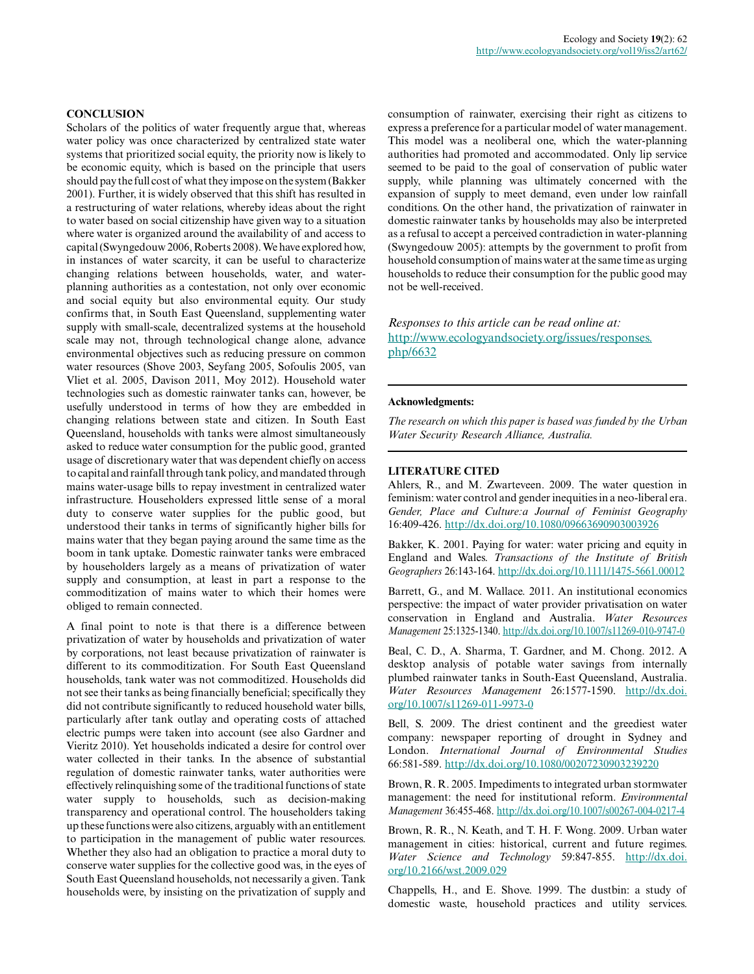#### **CONCLUSION**

Scholars of the politics of water frequently argue that, whereas water policy was once characterized by centralized state water systems that prioritized social equity, the priority now is likely to be economic equity, which is based on the principle that users should pay the full cost of what they impose on the system (Bakker 2001). Further, it is widely observed that this shift has resulted in a restructuring of water relations, whereby ideas about the right to water based on social citizenship have given way to a situation where water is organized around the availability of and access to capital (Swyngedouw 2006, Roberts 2008). We have explored how, in instances of water scarcity, it can be useful to characterize changing relations between households, water, and waterplanning authorities as a contestation, not only over economic and social equity but also environmental equity. Our study confirms that, in South East Queensland, supplementing water supply with small-scale, decentralized systems at the household scale may not, through technological change alone, advance environmental objectives such as reducing pressure on common water resources (Shove 2003, Seyfang 2005, Sofoulis 2005, van Vliet et al. 2005, Davison 2011, Moy 2012). Household water technologies such as domestic rainwater tanks can, however, be usefully understood in terms of how they are embedded in changing relations between state and citizen. In South East Queensland, households with tanks were almost simultaneously asked to reduce water consumption for the public good, granted usage of discretionary water that was dependent chiefly on access to capital and rainfall through tank policy, and mandated through mains water-usage bills to repay investment in centralized water infrastructure. Householders expressed little sense of a moral duty to conserve water supplies for the public good, but understood their tanks in terms of significantly higher bills for mains water that they began paying around the same time as the boom in tank uptake. Domestic rainwater tanks were embraced by householders largely as a means of privatization of water supply and consumption, at least in part a response to the commoditization of mains water to which their homes were obliged to remain connected.

A final point to note is that there is a difference between privatization of water by households and privatization of water by corporations, not least because privatization of rainwater is different to its commoditization. For South East Queensland households, tank water was not commoditized. Households did not see their tanks as being financially beneficial; specifically they did not contribute significantly to reduced household water bills, particularly after tank outlay and operating costs of attached electric pumps were taken into account (see also Gardner and Vieritz 2010). Yet households indicated a desire for control over water collected in their tanks. In the absence of substantial regulation of domestic rainwater tanks, water authorities were effectively relinquishing some of the traditional functions of state water supply to households, such as decision-making transparency and operational control. The householders taking up these functions were also citizens, arguably with an entitlement to participation in the management of public water resources. Whether they also had an obligation to practice a moral duty to conserve water supplies for the collective good was, in the eyes of South East Queensland households, not necessarily a given. Tank households were, by insisting on the privatization of supply and

consumption of rainwater, exercising their right as citizens to express a preference for a particular model of water management. This model was a neoliberal one, which the water-planning authorities had promoted and accommodated. Only lip service seemed to be paid to the goal of conservation of public water supply, while planning was ultimately concerned with the expansion of supply to meet demand, even under low rainfall conditions. On the other hand, the privatization of rainwater in domestic rainwater tanks by households may also be interpreted as a refusal to accept a perceived contradiction in water-planning (Swyngedouw 2005): attempts by the government to profit from household consumption of mains water at the same time as urging households to reduce their consumption for the public good may not be well-received.

## *Responses to this article can be read online at:* [http://www.ecologyandsociety.org/issues/responses.](http://www.ecologyandsociety.org/issues/responses.php/6632) [php/6632](http://www.ecologyandsociety.org/issues/responses.php/6632)

#### **Acknowledgments:**

*The research on which this paper is based was funded by the Urban Water Security Research Alliance, Australia.*

#### **LITERATURE CITED**

Ahlers, R., and M. Zwarteveen. 2009. The water question in feminism: water control and gender inequities in a neo-liberal era. *Gender, Place and Culture:a Journal of Feminist Geography* 16:409-426. [http://dx.doi.org/10.1080/09663690903003926](http://dx.doi.org/10.1080%2F09663690903003926)

Bakker, K. 2001. Paying for water: water pricing and equity in England and Wales. *Transactions of the Institute of British Geographers* 26:143-164. [http://dx.doi.org/10.1111/1475-5661.00012](http://dx.doi.org/10.1111%2F1475-5661.00012)

Barrett, G., and M. Wallace. 2011. An institutional economics perspective: the impact of water provider privatisation on water conservation in England and Australia. *Water Resources Management* 25:1325-1340. [http://dx.doi.org/10.1007/s11269-010-9747-0](http://dx.doi.org/10.1007%2Fs11269-010-9747-0)

Beal, C. D., A. Sharma, T. Gardner, and M. Chong. 2012. A desktop analysis of potable water savings from internally plumbed rainwater tanks in South-East Queensland, Australia. *Water Resources Management* 26:1577-1590. [http://dx.doi.](http://dx.doi.org/10.1007%2Fs11269-011-9973-0) [org/10.1007/s11269-011-9973-0](http://dx.doi.org/10.1007%2Fs11269-011-9973-0)

Bell, S. 2009. The driest continent and the greediest water company: newspaper reporting of drought in Sydney and London. *International Journal of Environmental Studies* 66:581-589. [http://dx.doi.org/10.1080/00207230903239220](http://dx.doi.org/10.1080%2F00207230903239220)

Brown, R. R. 2005. Impediments to integrated urban stormwater management: the need for institutional reform. *Environmental Management* 36:455-468. [http://dx.doi.org/10.1007/s00267-004-0217-4](http://dx.doi.org/10.1007%2Fs00267-004-0217-4)

Brown, R. R., N. Keath, and T. H. F. Wong. 2009. Urban water management in cities: historical, current and future regimes. *Water Science and Technology* 59:847-855. [http://dx.doi.](http://dx.doi.org/10.2166%2Fwst.2009.029) [org/10.2166/wst.2009.029](http://dx.doi.org/10.2166%2Fwst.2009.029)

Chappells, H., and E. Shove. 1999. The dustbin: a study of domestic waste, household practices and utility services.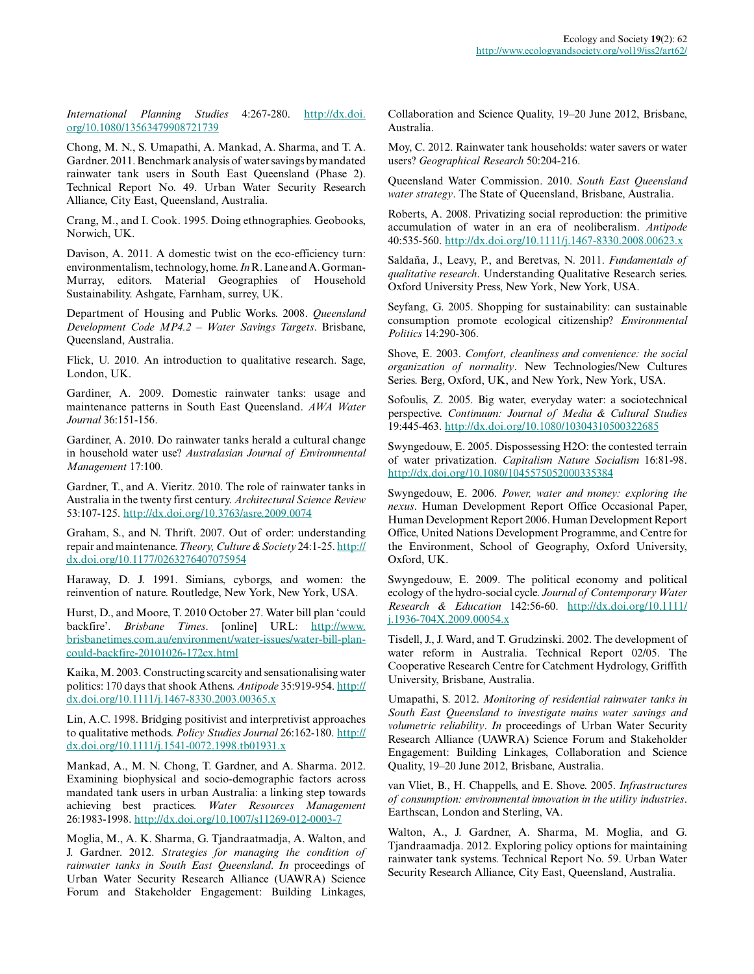*International Planning Studies* 4:267-280. [http://dx.doi.](http://dx.doi.org/10.1080%2F13563479908721739) [org/10.1080/13563479908721739](http://dx.doi.org/10.1080%2F13563479908721739)

Chong, M. N., S. Umapathi, A. Mankad, A. Sharma, and T. A. Gardner. 2011. Benchmark analysis of water savings by mandated rainwater tank users in South East Queensland (Phase 2). Technical Report No. 49. Urban Water Security Research Alliance, City East, Queensland, Australia.

Crang, M., and I. Cook. 1995. Doing ethnographies. Geobooks, Norwich, UK.

Davison, A. 2011. A domestic twist on the eco-efficiency turn: environmentalism, technology, home. *In* R. Lane and A. Gorman-Murray, editors. Material Geographies of Household Sustainability. Ashgate, Farnham, surrey, UK.

Department of Housing and Public Works. 2008. *Queensland Development Code MP4.2 – Water Savings Targets*. Brisbane, Queensland, Australia.

Flick, U. 2010. An introduction to qualitative research. Sage, London, UK.

Gardiner, A. 2009. Domestic rainwater tanks: usage and maintenance patterns in South East Queensland. *AWA Water Journal* 36:151-156.

Gardiner, A. 2010. Do rainwater tanks herald a cultural change in household water use? *Australasian Journal of Environmental Management* 17:100.

Gardner, T., and A. Vieritz. 2010. The role of rainwater tanks in Australia in the twenty first century. *Architectural Science Review* 53:107-125. [http://dx.doi.org/10.3763/asre.2009.0074](http://dx.doi.org/10.3763%2Fasre.2009.0074)

Graham, S., and N. Thrift. 2007. Out of order: understanding repair and maintenance. *Theory, Culture & Society* 24:1-25. [http://](http://dx.doi.org/10.1177%2F0263276407075954) [dx.doi.org/10.1177/0263276407075954](http://dx.doi.org/10.1177%2F0263276407075954)

Haraway, D. J. 1991. Simians, cyborgs, and women: the reinvention of nature. Routledge, New York, New York, USA.

Hurst, D., and Moore, T. 2010 October 27. Water bill plan 'could backfire'. *Brisbane Times*. [online] URL: [http://www.](http://www.brisbanetimes.com.au/environment/water-issues/water-bill-plan-could-backfire-20101026-172cx.html) [brisbanetimes.com.au/environment/water-issues/water-bill-plan](http://www.brisbanetimes.com.au/environment/water-issues/water-bill-plan-could-backfire-20101026-172cx.html)[could-backfire-20101026-172cx.html](http://www.brisbanetimes.com.au/environment/water-issues/water-bill-plan-could-backfire-20101026-172cx.html)

Kaika, M. 2003. Constructing scarcity and sensationalising water politics: 170 days that shook Athens. *Antipode* 35:919-954. [http://](http://dx.doi.org/10.1111%2Fj.1467-8330.2003.00365.x) [dx.doi.org/10.1111/j.1467-8330.2003.00365.x](http://dx.doi.org/10.1111%2Fj.1467-8330.2003.00365.x)

Lin, A.C. 1998. Bridging positivist and interpretivist approaches to qualitative methods. *Policy Studies Journal* 26:162-180. [http://](http://dx.doi.org/10.1111%2Fj.1541-0072.1998.tb01931.x) [dx.doi.org/10.1111/j.1541-0072.1998.tb01931.x](http://dx.doi.org/10.1111%2Fj.1541-0072.1998.tb01931.x)

Mankad, A., M. N. Chong, T. Gardner, and A. Sharma. 2012. Examining biophysical and socio-demographic factors across mandated tank users in urban Australia: a linking step towards achieving best practices. *Water Resources Management* 26:1983-1998. [http://dx.doi.org/10.1007/s11269-012-0003-7](http://dx.doi.org/10.1007%2Fs11269-012-0003-7)

Moglia, M., A. K. Sharma, G. Tjandraatmadja, A. Walton, and J. Gardner. 2012. *Strategies for managing the condition of rainwater tanks in South East Queensland*. *In* proceedings of Urban Water Security Research Alliance (UAWRA) Science Forum and Stakeholder Engagement: Building Linkages, Collaboration and Science Quality, 19–20 June 2012, Brisbane, Australia.

Moy, C. 2012. Rainwater tank households: water savers or water users? *Geographical Research* 50:204-216.

Queensland Water Commission. 2010. *South East Queensland water strategy*. The State of Queensland, Brisbane, Australia.

Roberts, A. 2008. Privatizing social reproduction: the primitive accumulation of water in an era of neoliberalism. *Antipode* 40:535-560. [http://dx.doi.org/10.1111/j.1467-8330.2008.00623.x](http://dx.doi.org/10.1111%2Fj.1467-8330.2008.00623.x)

Saldaña, J., Leavy, P., and Beretvas, N. 2011. *Fundamentals of qualitative research*. Understanding Qualitative Research series. Oxford University Press, New York, New York, USA.

Seyfang, G. 2005. Shopping for sustainability: can sustainable consumption promote ecological citizenship? *Environmental Politics* 14:290-306.

Shove, E. 2003. *Comfort, cleanliness and convenience: the social organization of normality*. New Technologies/New Cultures Series. Berg, Oxford, UK, and New York, New York, USA.

Sofoulis, Z. 2005. Big water, everyday water: a sociotechnical perspective. *Continuum: Journal of Media & Cultural Studies* 19:445-463. [http://dx.doi.org/10.1080/10304310500322685](http://dx.doi.org/10.1080%2F10304310500322685)

Swyngedouw, E. 2005. Dispossessing H2O: the contested terrain of water privatization. *Capitalism Nature Socialism* 16:81-98. [http://dx.doi.org/10.1080/1045575052000335384](http://dx.doi.org/10.1080%2F1045575052000335384)

Swyngedouw, E. 2006. *Power, water and money: exploring the nexus*. Human Development Report Office Occasional Paper, Human Development Report 2006. Human Development Report Office, United Nations Development Programme, and Centre for the Environment, School of Geography, Oxford University, Oxford, UK.

Swyngedouw, E. 2009. The political economy and political ecology of the hydro-social cycle. *Journal of Contemporary Water Research & Education* 142:56-60. [http://dx.doi.org/10.1111/](http://dx.doi.org/10.1111%2Fj.1936-704X.2009.00054.x) [j.1936-704X.2009.00054.x](http://dx.doi.org/10.1111%2Fj.1936-704X.2009.00054.x)

Tisdell, J., J. Ward, and T. Grudzinski. 2002. The development of water reform in Australia. Technical Report 02/05. The Cooperative Research Centre for Catchment Hydrology, Griffith University, Brisbane, Australia.

Umapathi, S. 2012. *Monitoring of residential rainwater tanks in South East Queensland to investigate mains water savings and volumetric reliability*. *In* proceedings of Urban Water Security Research Alliance (UAWRA) Science Forum and Stakeholder Engagement: Building Linkages, Collaboration and Science Quality, 19–20 June 2012, Brisbane, Australia.

van Vliet, B., H. Chappells, and E. Shove. 2005. *Infrastructures of consumption: environmental innovation in the utility industries*. Earthscan, London and Sterling, VA.

Walton, A., J. Gardner, A. Sharma, M. Moglia, and G. Tjandraamadja. 2012. Exploring policy options for maintaining rainwater tank systems. Technical Report No. 59. Urban Water Security Research Alliance, City East, Queensland, Australia.